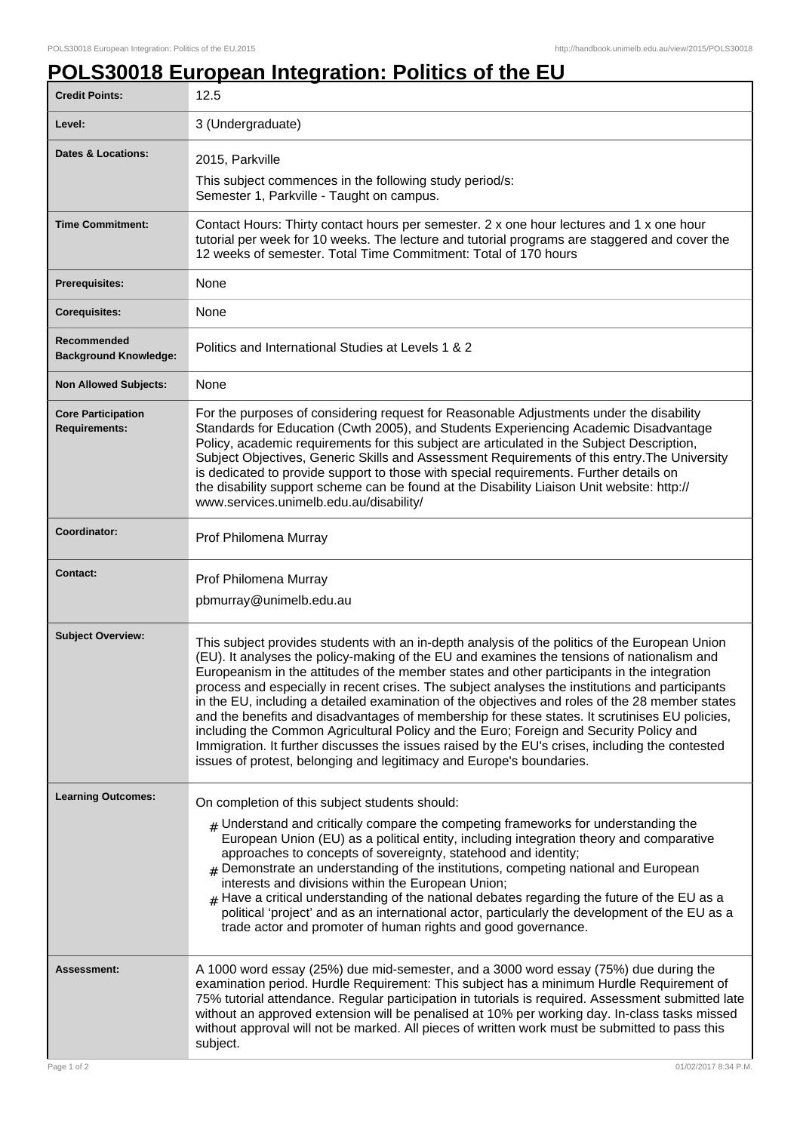## **POLS30018 European Integration: Politics of the EU**

| <b>Credit Points:</b>                             | 12.5                                                                                                                                                                                                                                                                                                                                                                                                                                                                                                                                                                                                                                                                                                                                                                                                                                                                     |
|---------------------------------------------------|--------------------------------------------------------------------------------------------------------------------------------------------------------------------------------------------------------------------------------------------------------------------------------------------------------------------------------------------------------------------------------------------------------------------------------------------------------------------------------------------------------------------------------------------------------------------------------------------------------------------------------------------------------------------------------------------------------------------------------------------------------------------------------------------------------------------------------------------------------------------------|
| Level:                                            | 3 (Undergraduate)                                                                                                                                                                                                                                                                                                                                                                                                                                                                                                                                                                                                                                                                                                                                                                                                                                                        |
| <b>Dates &amp; Locations:</b>                     | 2015, Parkville                                                                                                                                                                                                                                                                                                                                                                                                                                                                                                                                                                                                                                                                                                                                                                                                                                                          |
|                                                   | This subject commences in the following study period/s:<br>Semester 1, Parkville - Taught on campus.                                                                                                                                                                                                                                                                                                                                                                                                                                                                                                                                                                                                                                                                                                                                                                     |
| <b>Time Commitment:</b>                           | Contact Hours: Thirty contact hours per semester. 2 x one hour lectures and 1 x one hour<br>tutorial per week for 10 weeks. The lecture and tutorial programs are staggered and cover the<br>12 weeks of semester. Total Time Commitment: Total of 170 hours                                                                                                                                                                                                                                                                                                                                                                                                                                                                                                                                                                                                             |
| <b>Prerequisites:</b>                             | None                                                                                                                                                                                                                                                                                                                                                                                                                                                                                                                                                                                                                                                                                                                                                                                                                                                                     |
| <b>Corequisites:</b>                              | None                                                                                                                                                                                                                                                                                                                                                                                                                                                                                                                                                                                                                                                                                                                                                                                                                                                                     |
| Recommended<br><b>Background Knowledge:</b>       | Politics and International Studies at Levels 1 & 2                                                                                                                                                                                                                                                                                                                                                                                                                                                                                                                                                                                                                                                                                                                                                                                                                       |
| <b>Non Allowed Subjects:</b>                      | None                                                                                                                                                                                                                                                                                                                                                                                                                                                                                                                                                                                                                                                                                                                                                                                                                                                                     |
| <b>Core Participation</b><br><b>Requirements:</b> | For the purposes of considering request for Reasonable Adjustments under the disability<br>Standards for Education (Cwth 2005), and Students Experiencing Academic Disadvantage<br>Policy, academic requirements for this subject are articulated in the Subject Description,<br>Subject Objectives, Generic Skills and Assessment Requirements of this entry. The University<br>is dedicated to provide support to those with special requirements. Further details on<br>the disability support scheme can be found at the Disability Liaison Unit website: http://<br>www.services.unimelb.edu.au/disability/                                                                                                                                                                                                                                                         |
| Coordinator:                                      | Prof Philomena Murray                                                                                                                                                                                                                                                                                                                                                                                                                                                                                                                                                                                                                                                                                                                                                                                                                                                    |
| <b>Contact:</b>                                   | Prof Philomena Murray<br>pbmurray@unimelb.edu.au                                                                                                                                                                                                                                                                                                                                                                                                                                                                                                                                                                                                                                                                                                                                                                                                                         |
| <b>Subject Overview:</b>                          | This subject provides students with an in-depth analysis of the politics of the European Union<br>(EU). It analyses the policy-making of the EU and examines the tensions of nationalism and<br>Europeanism in the attitudes of the member states and other participants in the integration<br>process and especially in recent crises. The subject analyses the institutions and participants<br>in the EU, including a detailed examination of the objectives and roles of the 28 member states<br>and the benefits and disadvantages of membership for these states. It scrutinises EU policies,<br>including the Common Agricultural Policy and the Euro; Foreign and Security Policy and<br>Immigration. It further discusses the issues raised by the EU's crises, including the contested<br>issues of protest, belonging and legitimacy and Europe's boundaries. |
| <b>Learning Outcomes:</b>                         | On completion of this subject students should:<br>$#$ Understand and critically compare the competing frameworks for understanding the<br>European Union (EU) as a political entity, including integration theory and comparative<br>approaches to concepts of sovereignty, statehood and identity;<br>Demonstrate an understanding of the institutions, competing national and European<br>$\pm$<br>interests and divisions within the European Union;<br>$_{\#}$ Have a critical understanding of the national debates regarding the future of the EU as a<br>political 'project' and as an international actor, particularly the development of the EU as a<br>trade actor and promoter of human rights and good governance.                                                                                                                                          |
| Assessment:                                       | A 1000 word essay (25%) due mid-semester, and a 3000 word essay (75%) due during the<br>examination period. Hurdle Requirement: This subject has a minimum Hurdle Requirement of<br>75% tutorial attendance. Regular participation in tutorials is required. Assessment submitted late<br>without an approved extension will be penalised at 10% per working day. In-class tasks missed<br>without approval will not be marked. All pieces of written work must be submitted to pass this<br>subject.                                                                                                                                                                                                                                                                                                                                                                    |
| Page 1 of 2                                       | 01/02/2017 8:34 P.M.                                                                                                                                                                                                                                                                                                                                                                                                                                                                                                                                                                                                                                                                                                                                                                                                                                                     |